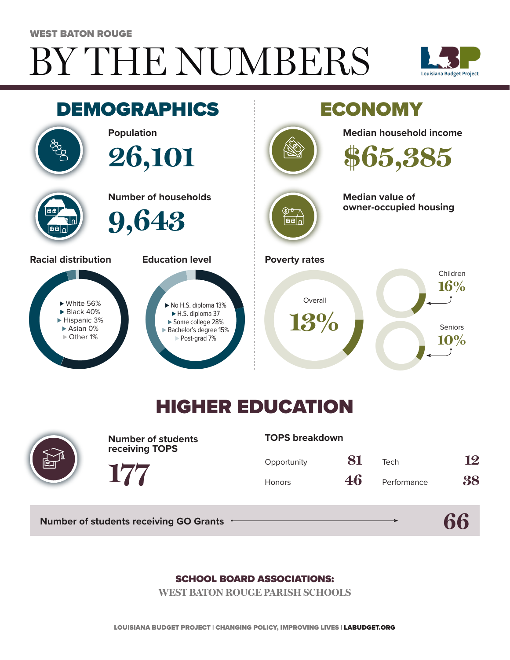#### WEST BATON ROUGE

# BY THE NUMBERS





## HIGHER EDUCATION



**Number of students receiving TOPS**

#### **TOPS breakdown**

| Opportunity   | 81 | Tech        | 12 |
|---------------|----|-------------|----|
| <b>Honors</b> | 46 | Performance | 38 |

**66**

**Number of students receiving GO Grants**

**177**

#### SCHOOL BOARD ASSOCIATIONS:

**WEST BATON ROUGE PARISH SCHOOLS**

LOUISIANA BUDGET PROJECT | CHANGING POLICY, IMPROVING LIVES | LABUDGET.ORG